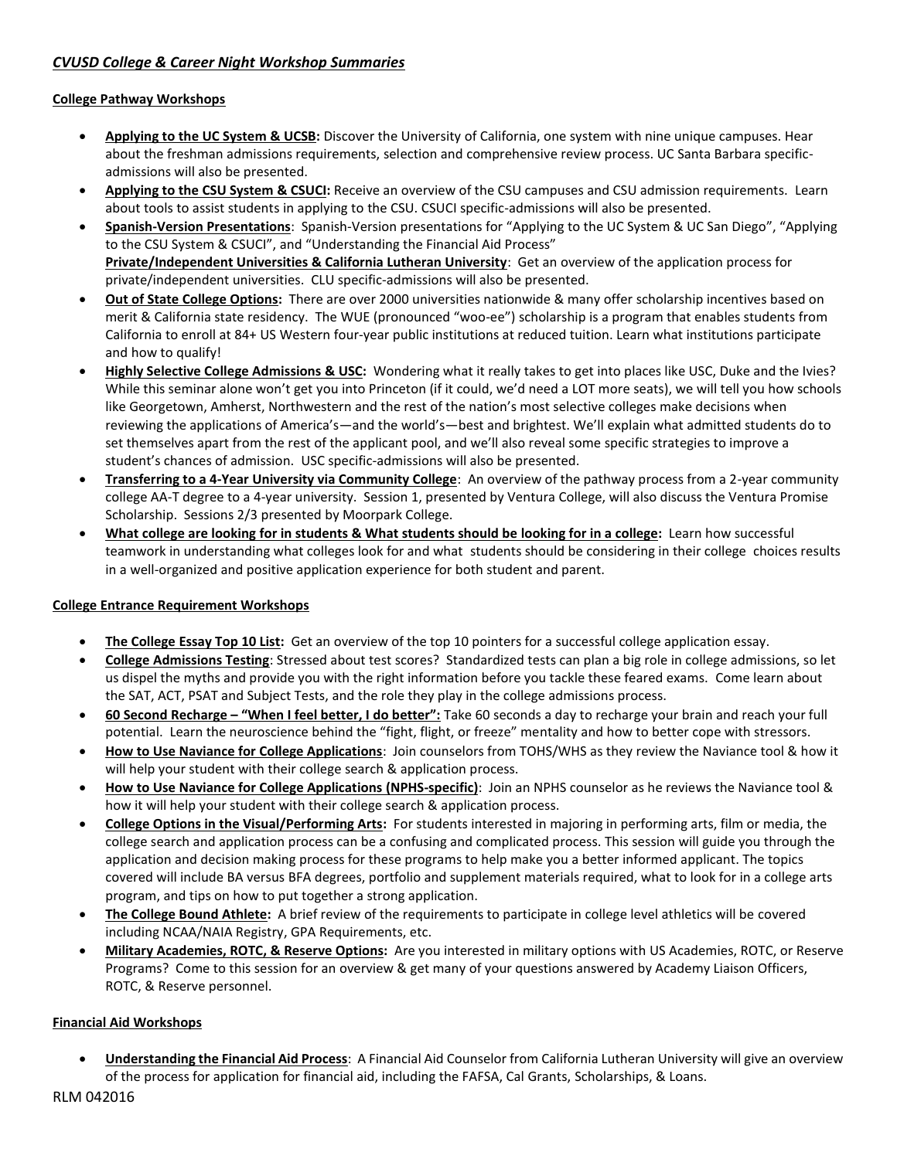# *CVUSD College & Career Night Workshop Summaries*

### **College Pathway Workshops**

- **Applying to the UC System & UCSB:** Discover the University of California, one system with nine unique campuses. Hear about the freshman admissions requirements, selection and comprehensive review process. UC Santa Barbara specificadmissions will also be presented.
- **Applying to the CSU System & CSUCI:** Receive an overview of the CSU campuses and CSU admission requirements. Learn about tools to assist students in applying to the CSU. CSUCI specific-admissions will also be presented.
- **Spanish-Version Presentations**: Spanish-Version presentations for "Applying to the UC System & UC San Diego", "Applying to the CSU System & CSUCI", and "Understanding the Financial Aid Process" **Private/Independent Universities & California Lutheran University**: Get an overview of the application process for private/independent universities. CLU specific-admissions will also be presented.
- **Out of State College Options:** There are over 2000 universities nationwide & many offer scholarship incentives based on merit & California state residency. The WUE (pronounced "woo-ee") scholarship is a program that enables students from California to enroll at 84+ US Western four-year public institutions at reduced tuition. Learn what institutions participate and how to qualify!
- **Highly Selective College Admissions & USC:** Wondering what it really takes to get into places like USC, Duke and the Ivies? While this seminar alone won't get you into Princeton (if it could, we'd need a LOT more seats), we will tell you how schools like Georgetown, Amherst, Northwestern and the rest of the nation's most selective colleges make decisions when reviewing the applications of America's—and the world's—best and brightest. We'll explain what admitted students do to set themselves apart from the rest of the applicant pool, and we'll also reveal some specific strategies to improve a student's chances of admission. USC specific-admissions will also be presented.
- **Transferring to a 4-Year University via Community College**: An overview of the pathway process from a 2-year community college AA-T degree to a 4-year university. Session 1, presented by Ventura College, will also discuss the Ventura Promise Scholarship. Sessions 2/3 presented by Moorpark College.
- **What college are looking for in students & What students should be looking for in a college:** Learn how successful teamwork in understanding what colleges look for and what students should be considering in their college choices results in a well-organized and positive application experience for both student and parent.

### **College Entrance Requirement Workshops**

- **The College Essay Top 10 List:** Get an overview of the top 10 pointers for a successful college application essay.
- **College Admissions Testing**: Stressed about test scores? Standardized tests can plan a big role in college admissions, so let us dispel the myths and provide you with the right information before you tackle these feared exams. Come learn about the SAT, ACT, PSAT and Subject Tests, and the role they play in the college admissions process.
- **60 Second Recharge – "When I feel better, I do better":** Take 60 seconds a day to recharge your brain and reach your full potential. Learn the neuroscience behind the "fight, flight, or freeze" mentality and how to better cope with stressors.
- **How to Use Naviance for College Applications**: Join counselors from TOHS/WHS as they review the Naviance tool & how it will help your student with their college search & application process.
- **How to Use Naviance for College Applications (NPHS-specific)**: Join an NPHS counselor as he reviews the Naviance tool & how it will help your student with their college search & application process.
- **College Options in the Visual/Performing Arts:** For students interested in majoring in performing arts, film or media, the college search and application process can be a confusing and complicated process. This session will guide you through the application and decision making process for these programs to help make you a better informed applicant. The topics covered will include BA versus BFA degrees, portfolio and supplement materials required, what to look for in a college arts program, and tips on how to put together a strong application.
- **The College Bound Athlete:** A brief review of the requirements to participate in college level athletics will be covered including NCAA/NAIA Registry, GPA Requirements, etc.
- **Military Academies, ROTC, & Reserve Options:** Are you interested in military options with US Academies, ROTC, or Reserve Programs? Come to this session for an overview & get many of your questions answered by Academy Liaison Officers, ROTC, & Reserve personnel.

### **Financial Aid Workshops**

 **Understanding the Financial Aid Process**: A Financial Aid Counselor from California Lutheran University will give an overview of the process for application for financial aid, including the FAFSA, Cal Grants, Scholarships, & Loans.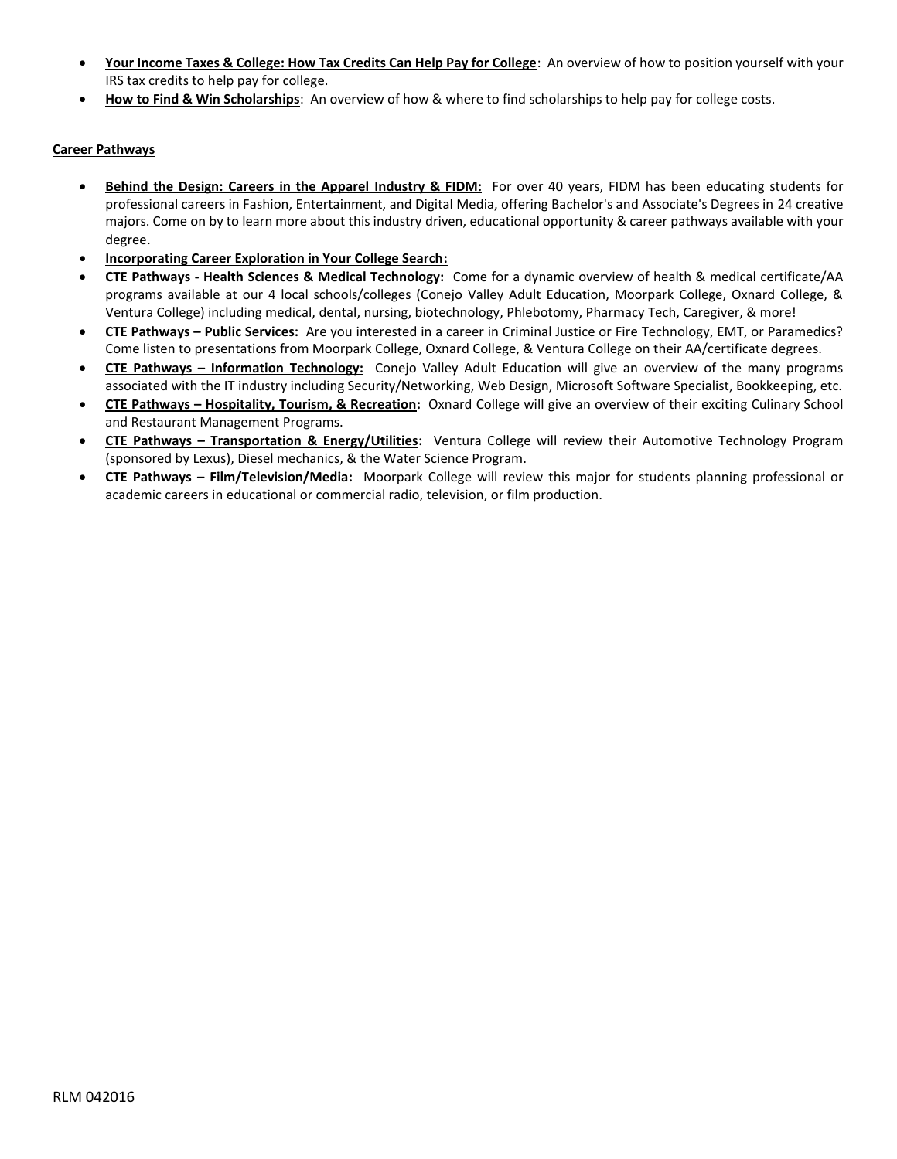- **Your Income Taxes & College: How Tax Credits Can Help Pay for College**: An overview of how to position yourself with your IRS tax credits to help pay for college.
- **How to Find & Win Scholarships**: An overview of how & where to find scholarships to help pay for college costs.

### **Career Pathways**

- **Behind the Design: Careers in the Apparel Industry & FIDM:** For over 40 years, FIDM has been educating students for professional careers in Fashion, Entertainment, and Digital Media, offering Bachelor's and Associate's Degrees in 24 creative majors. Come on by to learn more about this industry driven, educational opportunity & career pathways available with your degree.
- **Incorporating Career Exploration in Your College Search:**
- **CTE Pathways - Health Sciences & Medical Technology:** Come for a dynamic overview of health & medical certificate/AA programs available at our 4 local schools/colleges (Conejo Valley Adult Education, Moorpark College, Oxnard College, & Ventura College) including medical, dental, nursing, biotechnology, Phlebotomy, Pharmacy Tech, Caregiver, & more!
- **CTE Pathways – Public Services:** Are you interested in a career in Criminal Justice or Fire Technology, EMT, or Paramedics? Come listen to presentations from Moorpark College, Oxnard College, & Ventura College on their AA/certificate degrees.
- **CTE Pathways – Information Technology:** Conejo Valley Adult Education will give an overview of the many programs associated with the IT industry including Security/Networking, Web Design, Microsoft Software Specialist, Bookkeeping, etc.
- **CTE Pathways – Hospitality, Tourism, & Recreation:** Oxnard College will give an overview of their exciting Culinary School and Restaurant Management Programs.
- **CTE Pathways – Transportation & Energy/Utilities:** Ventura College will review their Automotive Technology Program (sponsored by Lexus), Diesel mechanics, & the Water Science Program.
- **CTE Pathways – Film/Television/Media:** Moorpark College will review this major for students planning professional or academic careers in educational or commercial radio, television, or film production.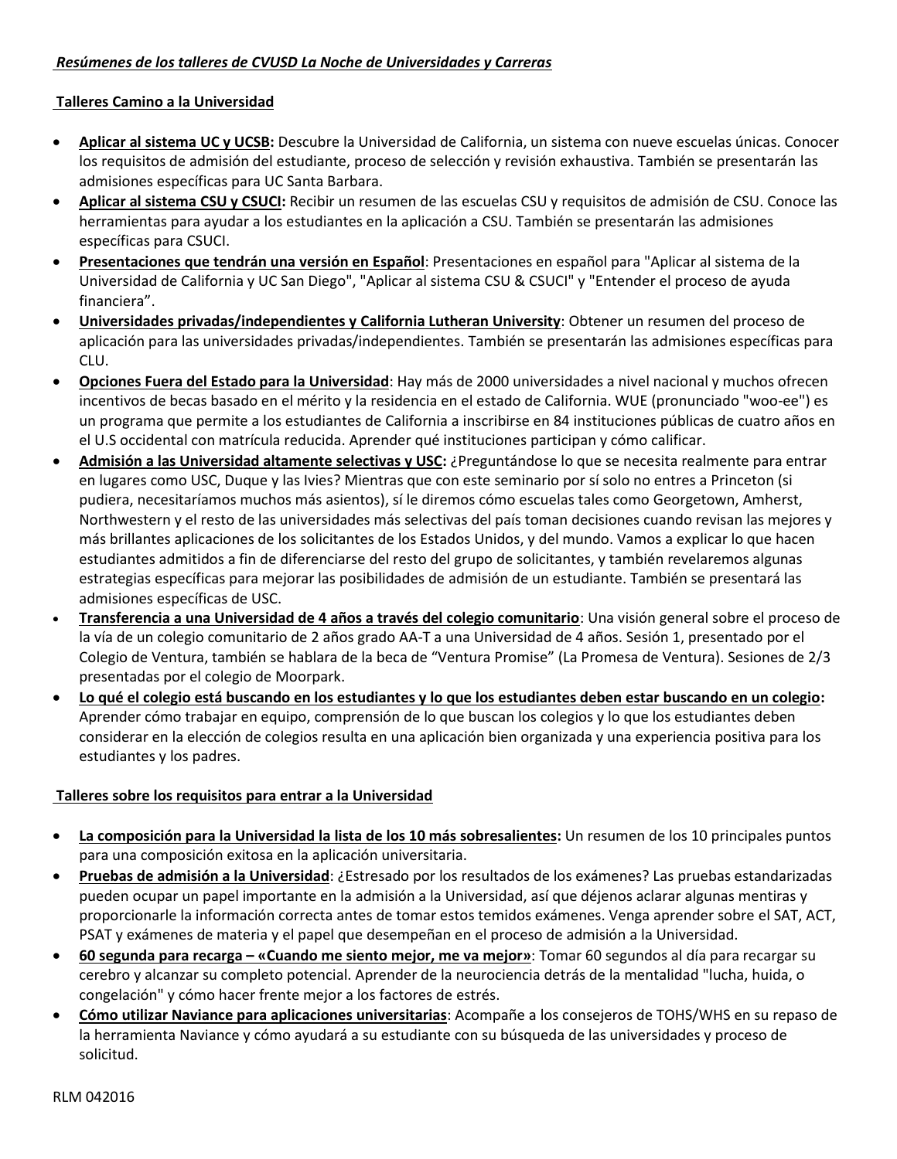## *Resúmenes de los talleres de CVUSD La Noche de Universidades y Carreras*

### **Talleres Camino a la Universidad**

- **Aplicar al sistema UC y UCSB:** Descubre la Universidad de California, un sistema con nueve escuelas únicas. Conocer los requisitos de admisión del estudiante, proceso de selección y revisión exhaustiva. También se presentarán las admisiones específicas para UC Santa Barbara.
- **Aplicar al sistema CSU y CSUCI:** Recibir un resumen de las escuelas CSU y requisitos de admisión de CSU. Conoce las herramientas para ayudar a los estudiantes en la aplicación a CSU. También se presentarán las admisiones específicas para CSUCI.
- **Presentaciones que tendrán una versión en Español**: Presentaciones en español para "Aplicar al sistema de la Universidad de California y UC San Diego", "Aplicar al sistema CSU & CSUCI" y "Entender el proceso de ayuda financiera".
- **Universidades privadas/independientes y California Lutheran University**: Obtener un resumen del proceso de aplicación para las universidades privadas/independientes. También se presentarán las admisiones específicas para CLU.
- **Opciones Fuera del Estado para la Universidad**: Hay más de 2000 universidades a nivel nacional y muchos ofrecen incentivos de becas basado en el mérito y la residencia en el estado de California. WUE (pronunciado "woo-ee") es un programa que permite a los estudiantes de California a inscribirse en 84 instituciones públicas de cuatro años en el U.S occidental con matrícula reducida. Aprender qué instituciones participan y cómo calificar.
- **Admisión a las Universidad altamente selectivas y USC:** ¿Preguntándose lo que se necesita realmente para entrar en lugares como USC, Duque y las Ivies? Mientras que con este seminario por sí solo no entres a Princeton (si pudiera, necesitaríamos muchos más asientos), sí le diremos cómo escuelas tales como Georgetown, Amherst, Northwestern y el resto de las universidades más selectivas del país toman decisiones cuando revisan las mejores y más brillantes aplicaciones de los solicitantes de los Estados Unidos, y del mundo. Vamos a explicar lo que hacen estudiantes admitidos a fin de diferenciarse del resto del grupo de solicitantes, y también revelaremos algunas estrategias específicas para mejorar las posibilidades de admisión de un estudiante. También se presentará las admisiones específicas de USC.
- **Transferencia a una Universidad de 4 años a través del colegio comunitario**: Una visión general sobre el proceso de la vía de un colegio comunitario de 2 años grado AA-T a una Universidad de 4 años. Sesión 1, presentado por el Colegio de Ventura, también se hablara de la beca de "Ventura Promise" (La Promesa de Ventura). Sesiones de 2/3 presentadas por el colegio de Moorpark.
- **Lo qué el colegio está buscando en los estudiantes y lo que los estudiantes deben estar buscando en un colegio:**  Aprender cómo trabajar en equipo, comprensión de lo que buscan los colegios y lo que los estudiantes deben considerar en la elección de colegios resulta en una aplicación bien organizada y una experiencia positiva para los estudiantes y los padres.

# **Talleres sobre los requisitos para entrar a la Universidad**

- **La composición para la Universidad la lista de los 10 más sobresalientes:** Un resumen de los 10 principales puntos para una composición exitosa en la aplicación universitaria.
- **Pruebas de admisión a la Universidad**: ¿Estresado por los resultados de los exámenes? Las pruebas estandarizadas pueden ocupar un papel importante en la admisión a la Universidad, así que déjenos aclarar algunas mentiras y proporcionarle la información correcta antes de tomar estos temidos exámenes. Venga aprender sobre el SAT, ACT, PSAT y exámenes de materia y el papel que desempeñan en el proceso de admisión a la Universidad.
- **60 segunda para recarga – «Cuando me siento mejor, me va mejor»**: Tomar 60 segundos al día para recargar su cerebro y alcanzar su completo potencial. Aprender de la neurociencia detrás de la mentalidad "lucha, huida, o congelación" y cómo hacer frente mejor a los factores de estrés.
- **Cómo utilizar Naviance para aplicaciones universitarias**: Acompañe a los consejeros de TOHS/WHS en su repaso de la herramienta Naviance y cómo ayudará a su estudiante con su búsqueda de las universidades y proceso de solicitud.